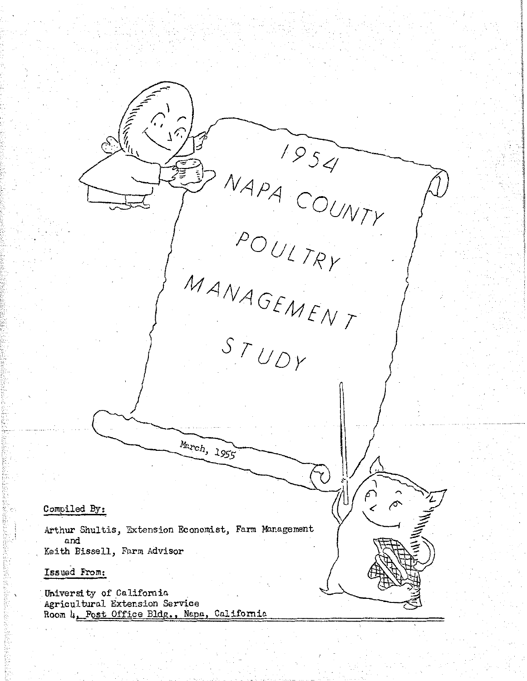NAPA COUNTY Y INTIA COUNT *I J*  March, 1955  $\sigma$  $\sum_{k=1}^{n}$ Compiled By: Arthur Shultis, Extension Economist, Farm Management and Keith Bissell, Farm Advisor Issued From: University of California Agricultural Extension Service Room 4, Post Office Bldg., Napa, California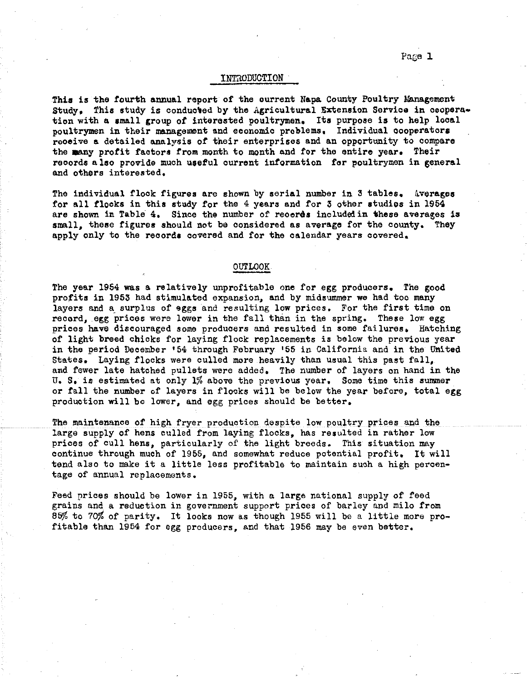## INTRODUCTION

This is the fourth annual report of the current Napa County Poultry Management Study. This study is conducted by the Agricultural Extension Service in cooperation with a small group of interested poultrymen. Its purpose is to help local poultrymen in their management and economic problems. Individual cooperators receive a detailed analysis of their enterprises and an opportunity to compare the many profit factors from month to month and for the entire year. Their reoords also provide much useful current information for poultrymen in general and others interested.

The individual flock figures are shown by serial number in 3 tables. Averages for all flocks in this study for the 4 years and for 3 other studies in 1954 are shown in Table 4. Since the number of reoeres included in these averages is small, these figures should not be considered as average for the county. They apply only to the records covered and for the calendar years covered.

## OUTLOOK

The year 1954 was a relatively unprofitable one for egg producers. The good profits in 1953 had stimulated expansion, and by midsummer we had too many layers and a surplus of eggs and resulting low prices, For the first time on record, egg prices were lower in the fall than in the spring, These low egg prices have discouraged some producers and resulted in some failures. Hatching of light breed chicks for laying flock replacements is below the previous year in the period Deoember •54 through February •55 in California and in the United States. Laying flocks were culled more heavily than usual this past fall, and fewer late hatched pullets were added. The number of layers on hand in the U, s. is estimated at only 1% above the previous year. Some time this summer or fall the number of layers in flocks will be below the year before, total egg production will be lower, and egg prices should be better.

The maintenance of high fryer production despite low poultry prices and the large supply of hens culled from laying flocks, has resulted in rather low prices of cull hens, particularly of the light breeds. This situation may continue through much of 1955, and somewhat reduce potential profit. It will tend also to make it a little less profitable to maintain such a high percentage of annual replacements.

Feed prices should be lower in 1955, with a large national supply of feed grains and a reduction in government support prices of barley and milo from 85% to 70% of parity, It looks now as though 1955 will be a little more profitable than 1954 for egg producers, and that 1956 may be even better,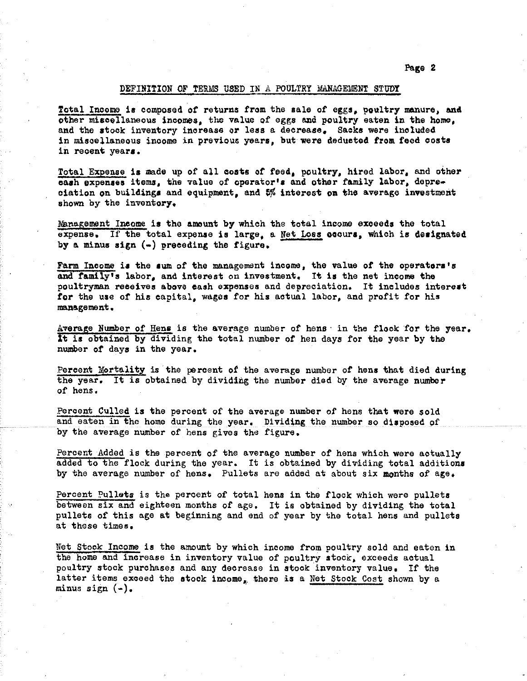Page 2

## DEFINITION OF TERMS USED IN A POULTRY MANAGEMENT STUDY

Total Income is composed of returns from the sale of eggs, poultry manure, and other miscellaneous incomes, the value of eggs and poultry eaten in the home, and the stock inventory increase or less a decrease, Sacks were included in miscellaneous income in previous years, but were deducted from feed costs in recent years.

Total Expense is made up of all costs of feed, poultry, hired labor, and other cash expenses items, the value of operator's and other family labor, depreciation on buildings and equipment, and 5% interest on the average investment shown by the inventory.

Management Income is the amount by which the total income exoeeds the total expense. If the total expense is large, a Net Loss cocurs, which is designated by a minus sign  $(-)$  preceding the figure.

Farm Income is the sum of the management income, the value of the operators's and family's labor, and interest on investment. It is the net income the poultryman reteives above cash expenses and depreciation. It includes interest for the use of his capital, wages for his actual labor, and profit for his management.

Average Number of Hens is the average number of hens in the flock for the year. ft is obtained by dividing the total number of hen days for the year by the number of days in the year.

Percent Mortality is the percent of the average number of hens that died during the year. It is obtained by dividing the number died by the average number or hens.

Percent Culled is the percent of the average number of hens that were sold and eaten in the home during the year. Dividing the number so disposed of by the average number of hens gives the figure.

Percent Added is the percent of the average number of hens which were actually added to the flock during the year. It is obtained by dividing total additions by the average number of hens. Pullets are added at about six months of age.

Percent Pullets is the percent of total hens in the flock which were pullets between six and eighteen months of age. It is obtained by dividing the total pullets of this age at beginning and end of year by the total hens and pullets at these times.

Net Stock Income is the amount by which income from poultry sold and eaten in the home and increase in inventory value of poultry stock, exceeds actual poultry stock purchases and any decrease in stock inventory value. If the latter items exceed the stock income, there is a Net Stock Cost shown by a minus sign  $(-)$ .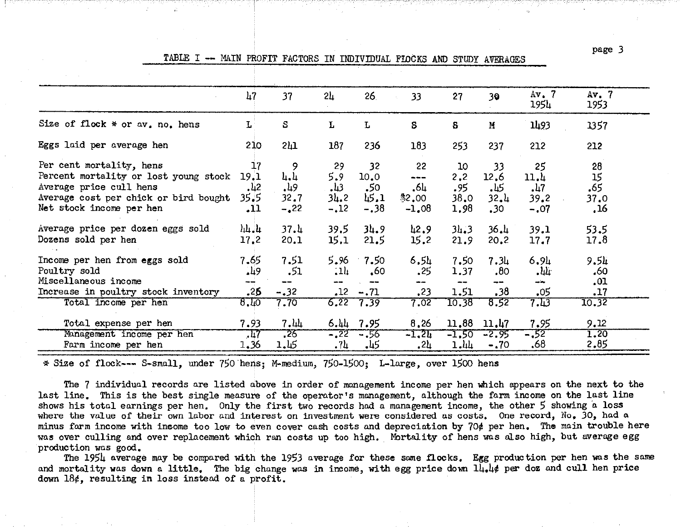page 3<br>TABLE I -- MAIN PROFIT FACTORS IN INDIVIDUAL FIOCKS AND STUDY AVERAGES

|                                       | 47            | 37     | 2 <sub>u</sub> | 26 <sub>1</sub> | 33       | 27      | 30               | Av. 7<br>1954 | Av. 7<br>1953 |
|---------------------------------------|---------------|--------|----------------|-----------------|----------|---------|------------------|---------------|---------------|
|                                       |               |        |                |                 |          |         |                  |               |               |
| Size of flock * or av. no. hens       | L             | S      | L              | L               | S        | S       | $\mathbf{H}$     | 1493          | 1357          |
| Eggs laid per average hen             | 210           | 211    | 187            | 236             | 183      | 253     | 237              | 212           | 212           |
| Per cent mortality, hens              | 17            | 9      | 29             | 32              | 22       | 10      | 33               | 25            | 28            |
| Percent mortality or lost young stock | 19.1          | 4.4    | 5.9            | 10.0            | ---      | 2, 2    | 12.6             | 11.4          | 15            |
| Average price cull hens               | $\frac{1}{2}$ | 49ء    | 34.            | .50             | .64      | .95     | 45.              | 17            | .65           |
| Average cost per chick or bird bought | 35.5          | 32.7   | 31.2           | 45.1            | \$2,00   | 38,0    | 32.1             | 39.2          | 37.0          |
| Net stock income per hen              | .11           | $-22$  | $-.12$         | $-.38$          | $-1,08$  | 1.98    | .30 <sub>2</sub> | $-.07$        | , 16          |
| Average price per dozen eggs sold     | $h + h$       | 37.4   | 39.5           | 34.9            | 42.9     | 31.3    | 36.4             | 39.1          | 53.5          |
| Dozens sold per hen                   | 17,2          | 20.1   | 15.1           | 21.5            | 15.2     | 21.9    | 20.2             | 17.7          | 17.8          |
| Income per hen from eggs sold         | 7.65          | 7.51   | 5.96           | $-7.50$         | 6.54     | 7.50    | 7.34             | 6.94          | 9.51          |
| Poultry sold                          | .49           | .51    | 1 <sub>1</sub> | .60             | .25      | 1.37    | .80              | - 44          | .60           |
| Miscellaneous income                  |               |        | un oa          | ---             |          | --      | ÷.               | and the       | .01           |
| Increase in poultry stock inventory   | .25           | $-.32$ | $\cdot$ 12     | $-.71$          | .23      | 1.51    | .38              | .05           | .17           |
| Total income per hen                  | 8.40          | 7.70   |                | $6, 22$ $7, 39$ | 7.02     | 10.38   | 8.52             | 7.43          | 10.32         |
| Total expense per hen                 | 7.93          | 7.44   | 6.44           | 7.95            | 8,26     | 11.88   | 11.47            | 7.95          | 9.12          |
| Management income per hen             | ,47           | $-25$  | $-22$          | - 56            | $-1, 21$ | $-1,50$ | -2.95            | $-52$         | 1.20          |
| Farm income per hen                   | 1.36          | 1.45   | -74            | -45             | .21      | 1.44    | $-.70$           | .68           | 2.85          |

\*Size of flock--- S-small, under 750.hens; M-medium, 750-1500; L-large, over 1500 hens

The 7 individual records are listed above in order of management income per hen which appears on the next to the last line. This is the best single measure of the operator's management, although the farm income on the last line shows his total earnings per hen. Only the first two records had *a* management income, the other 5 showing *a* loss where the value of their own labor and interest on investment were considered as costs. One record, No, *30,* had a minus farm income with ineome too low to even cover cash costs and depreciation by 70¢ per hen. The main trouble here was over culling and over replacement which ran costs up too high. Mortality of hens was also high, but average egg production was good.

The 1954 average may be compared with the 1953 average for these same flocks, Egg production per hen was the same and mortality was down a little, The big change was in income, with egg price down 14.4¢ per doz and cull hen price down 18¢, resulting in loss instead of a profit.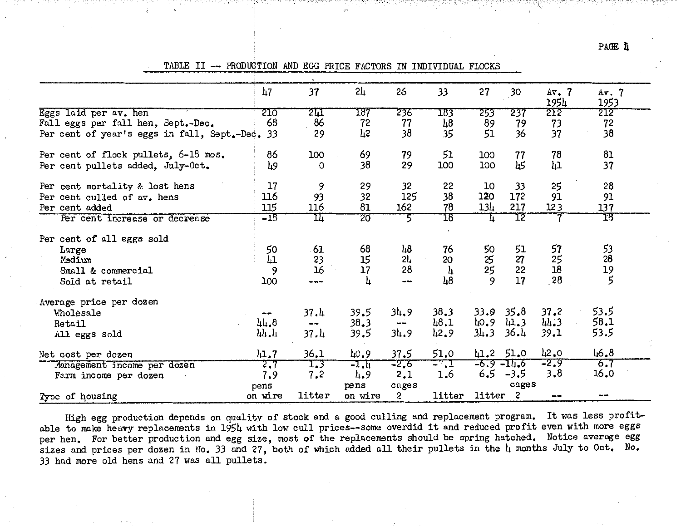PAGE L

TABLE II -- PRODUCTION AND EGG PRICE FACTORS IN INDIVIDUAL FLOCKS

|                                                | 47       | 37       | 2 <sub>h</sub> | 26     | 33             | 27            | 30                       | $Av_{\bullet}$ 7<br>1954 | Av.7<br>1953                           |  |
|------------------------------------------------|----------|----------|----------------|--------|----------------|---------------|--------------------------|--------------------------|----------------------------------------|--|
| Eggs laid per av. hen                          | 210      | 211      | 187            | 236    | 183            | 253           | 237                      | 212                      | 212                                    |  |
| Fall eggs per fall hen, Sept.-Dec.             | 68       | 86       | 72             | 77     | $\mu$ 8        | 89            | 79                       | 73                       | 72                                     |  |
| Per cent of year's eggs in fall, Sept.-Dec. 33 |          | 29       | 42             | 38     | 35             | 51            | 36                       | 37                       | 38                                     |  |
| Per cent of flock pullets, 6-18 mos.           | 86       | 100      | 69             | 79     | 51             | 100           | 77                       | 78                       | 81                                     |  |
| Per cent pullets added, July-Oct.              | 49       | O        | 38             | 29     | 100            | 100           | 45                       | łд.                      | 37                                     |  |
| Per cent mortality & lost hens                 | 17       | 9        | 29             | 32     | 22             | 10            | 33                       | 25                       | 28                                     |  |
| Per cent culled of av. hens                    | 116      | 93       | 32             | 125    | 38             | 120           | 172                      | 91                       | 91                                     |  |
| Per cent added                                 | 115      | 116      | 81             | 162    | 78             | 134           | 217                      | 123                      | 137                                    |  |
| Per cent increase or decrease                  | $-18$    | IΙ       | 20             |        | 18             |               | TZ                       |                          | 13                                     |  |
| Per cent of all eggs sold                      |          |          |                |        |                |               |                          |                          |                                        |  |
| Large                                          | 50       | 61       | 68             | 48     | 76             | 50            | 51                       | 57                       | 53                                     |  |
| Medium                                         | 41       | 23       | 15             | 21     | 20             | $rac{25}{25}$ | 27                       | 25                       | 28                                     |  |
| Small & commercial                             | 9        | 16       | 17             | 28     | 4              |               | 22                       | 18                       | $\begin{array}{c} 19 \\ 5 \end{array}$ |  |
| Sold at retail                                 | 100      |          | 4              |        | $\frac{1}{6}$  |               | 17                       | 28                       |                                        |  |
| Average price per dozen                        |          |          |                |        |                |               |                          |                          |                                        |  |
| <b>Molesale</b>                                | $- +$    | 37.4     | 39.5           | 34.9   | 38.3           | 33.9          | 35.8                     | 37.2                     | 53.5                                   |  |
| Retail                                         | 44.8     | $-\star$ | 38.3           | --     | 1.8,1          | 40.9          | 41.3                     | 44.3                     | 58.1                                   |  |
| All eggs sold                                  | 11.1     | 37.4     | 39.5           | 34.9   | 42.9           | 34.3          | 36.4                     | 39.1                     | 53.5                                   |  |
| Net cost per dozen                             | $\mu$ .7 | 36.1     | 40.9           | 37.5   | 51.0           |               | 41.2 51.0                | 42.0                     | 46.8                                   |  |
| Management income per dozen                    | 2.7      | 1.3      | $-1.4$         | $-2,6$ | $\pm$ al $\pm$ |               | $-6.9 - 11.6$            | $-2.9$                   | $\overline{6.7}$                       |  |
| Farm income per dozen                          | 7.9      | 7,2      | 4.9            | 2.1    | 1.6            |               | $6.5 - 3.5$              | 3,8                      | 16.0                                   |  |
|                                                | pens     |          | pens           | cages  |                |               | cages                    |                          |                                        |  |
| Type of housing                                | on wire  | litter   | on wire        | 2      | litter         | litter        | $\overline{\phantom{a}}$ | --                       | --                                     |  |

High egg production depends on quality of stock and a good culling and replacement program. It was less profitable to make heavy replacements in 1954 with low cull prices--some overdid it and reduced profit even with more eggs per hen. For better production and egg size, most of the replacements should be spring hatched. Notice average egg sizes and prices per dozen in No. 33 and 27, both of which added all their pullets in the 4 months July to Oct. No. 33 had more old hens and 27 was all pullets.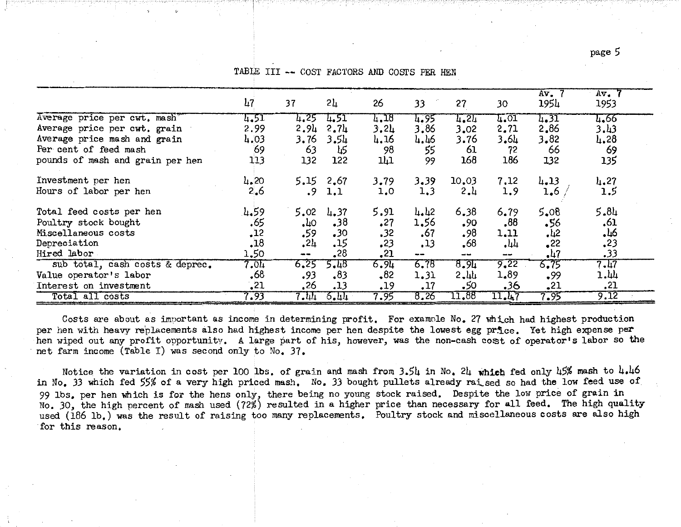page 5

|                                  | 117  | 37         | 2և               | 26          | 33   | 27       | 30            | $Av_{\bullet}$<br>1954 | $Av$ , $7$<br>1953 |  |
|----------------------------------|------|------------|------------------|-------------|------|----------|---------------|------------------------|--------------------|--|
| Average price per cwt. mash      | 4.51 | 4.25       | 4.51             | 1.18        | 4.95 | 1.21     | 4.01          | 1.31                   | 4.66               |  |
| Average price per cwt. grain     | 2.99 | 2.94       | 2.7 <sub>4</sub> | 3,24        | 3.86 | 3,02     | 2.71          | 2,86                   | 3.43               |  |
| Average price mash and grain     | 4.03 | 3.76       | 3.54             | 4.16        | 4.46 | 3.76     | 3.64          | 3,82                   | 4.28               |  |
| Per cent of feed mash            | 69   | 63         | 45               | 98          | 55   | 61       | 72            | 66                     | 69                 |  |
| pounds of mash and grain per hen | 113  | 132        | 122              | ᄔ           | 99   | 168      | 186           | 132                    | 135                |  |
| Investment per hen               | 4.20 |            | $5.15 \t2.67$    | 3.79        | 3.39 | 10.03    | 7.12          | $4 - 13$               | 4.27               |  |
| Hours of labor per hen           | 2.6  | $\cdot$ 9  | 1.1              | 1,0         | 1,3  | 2.1      | 1.9           | 1.6                    | 1,5                |  |
| Total feed costs per hen         | 4.59 | 5.02       | 4.37             | 5.91        | 4.42 | 6,38     | 6.79          | 5,08                   | 5.84               |  |
| Poultry stock bought             | .65  | $\cdot$ 40 | .38              | .27         | 1,56 | .90      | .88           | 56.                    | .61                |  |
| Miscellaneous costs              | .12  | 59ء        | $\cdot$ 30       | .32         | .67  | .98      | 1.11          | $-42$                  | -46                |  |
| Depreciation                     | .18  | .24        | .15              | .23         | .13  | .68      | $\cdot$ 44    | $^{\circ}$             | .23                |  |
| Hired labor                      | 1.50 | $\sim$ $-$ | .28              | ,21         | --   | $- -$    | $\frac{1}{2}$ | $-47$                  | .33                |  |
| sub total, cash costs & deprec.  | 7.01 | 6.25       | 5.18             | <u>9*31</u> | 6.78 | 6.91     | 9.22          | 6.75                   | 7.17               |  |
| Value operator's labor           | .68  | .93        | .83              | $-82$       | 1.31 | $2 - 44$ | 1.89          | .99                    | 1.44               |  |
| Interest on investment           | .21  | .26        | .13              | .19         | .17  | -50      | 36.           | .21                    | ,21                |  |
| Total all costs                  | 7.93 | 7.44       | $-6.44$          | 7.95        | 8,26 | 11.88    | 11.47         | 7.95                   | 9.12               |  |

TABLE III -- COST FACTORS AND COSTS FER HEN

Costs are about as important as income in determining profit. For example No. 27 which had highest production per hen with heavy replacements also had highest income per hen despite the lowest egg price. Yet high expense per hen wiped out any profit opportunity. A large part of his, however, was the non-cash cost of operator's labor so the net farm income (Table I) was second only to No. 37.

Notice the variation in cost per 100 lbs. of grain and mash from 3.54 in No. 24 which fed only 45% mash to 4.46 in No. 33 which fed 55% of a very high priced mash. No. 33 bought pullets already raised so had the low feed use of 99 lbs, per hen which is for the hens only, there being no young stock raised. Despite the low price of grain in No. 30, the high percent of mash used (72%) resulted in a higher price than necessary for all feed. The high quality used (186 lb.) was the result of raising too many replacements. Poultry stock and miscellaneous costs are also high for this reason.